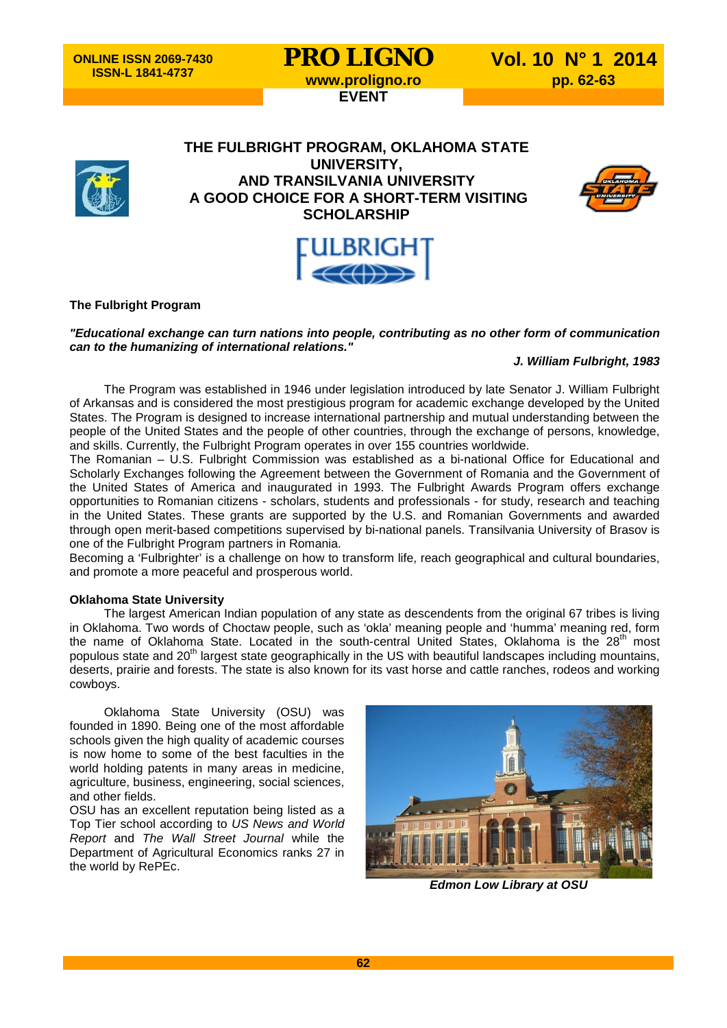# **PRO LIGNO** Vol. 10 N° 1 2014<br>www.proligno.ro pp. 62-63 **EVENT**



**THE FULBRIGHT PROGRAM, OKLAHOMA STATE UNIVERSITY, AND TRANSILVANIA UNIVERSITY A GOOD CHOICE FOR A SHORT-TERM VISITING SCHOLARSHIP**





### **The Fulbright Program**

#### *"Educational exchange can turn nations into people, contributing as no other form of communication can to the humanizing of international relations."*

## *J. William Fulbright, 1983*

The Program was established in 1946 under legislation introduced by late Senator J. William Fulbright of Arkansas and is considered the most prestigious program for academic exchange developed by the United States. The Program is designed to increase international partnership and mutual understanding between the people of the United States and the people of other countries, through the exchange of persons, knowledge, and skills. Currently, the Fulbright Program operates in over 155 countries worldwide.

The Romanian – U.S. Fulbright Commission was established as a bi-national Office for Educational and Scholarly Exchanges following the Agreement between the Government of Romania and the Government of the United States of America and inaugurated in 1993. The Fulbright Awards Program offers exchange opportunities to Romanian citizens - scholars, students and professionals - for study, research and teaching in the United States. These grants are supported by the U.S. and Romanian Governments and awarded through open merit-based competitions supervised by bi-national panels. Transilvania University of Brasov is one of the Fulbright Program partners in Romania.

Becoming a 'Fulbrighter' is a challenge on how to transform life, reach geographical and cultural boundaries, and promote a more peaceful and prosperous world.

#### **Oklahoma State University**

The largest American Indian population of any state as descendents from the original 67 tribes is living in Oklahoma. Two words of Choctaw people, such as 'okla' meaning people and 'humma' meaning red, form the name of Oklahoma State. Located in the south-central United States, Oklahoma is the 28<sup>th</sup> most populous state and 20<sup>th</sup> largest state geographically in the US with beautiful landscapes including mountains, deserts, prairie and forests. The state is also known for its vast horse and cattle ranches, rodeos and working cowboys.

Oklahoma State University (OSU) was founded in 1890. Being one of the most affordable schools given the high quality of academic courses is now home to some of the best faculties in the world holding patents in many areas in medicine, agriculture, business, engineering, social sciences, and other fields.

OSU has an excellent reputation being listed as a Top Tier school according to *US News and World Report* and *The Wall Street Journal* while the Department of Agricultural Economics ranks 27 in the world by RePEc.



*Edmon Low Library at OSU*